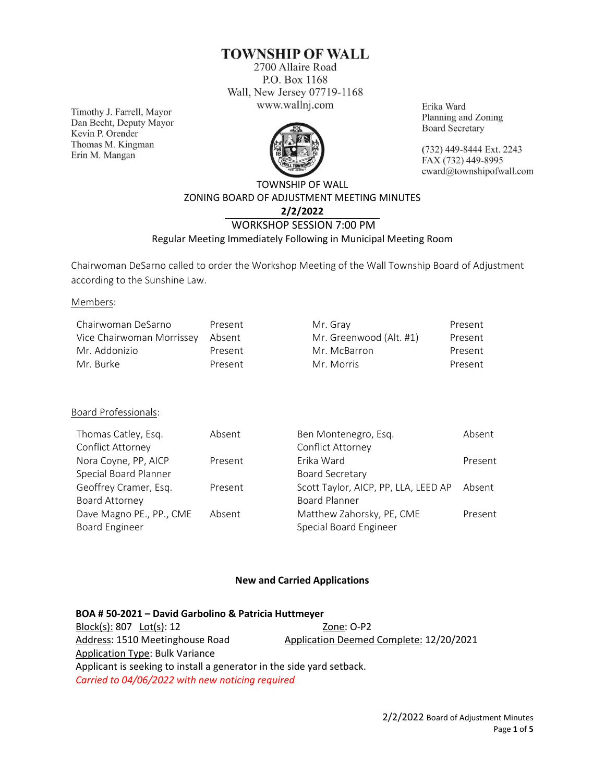# **TOWNSHIP OF WALL**

2700 Allaire Road P.O. Box 1168 Wall, New Jersey 07719-1168 www.wallnj.com

Timothy J. Farrell, Mayor Dan Becht, Deputy Mayor Kevin P. Orender Thomas M. Kingman Erin M. Mangan



Erika Ward Planning and Zoning **Board Secretary** 

(732) 449-8444 Ext. 2243 FAX (732) 449-8995 eward@townshipofwall.com

## TOWNSHIP OF WALL ZONING BOARD OF ADJUSTMENT MEETING MINUTES **2/2/2022** WORKSHOP SESSION 7:00 PM

## Regular Meeting Immediately Following in Municipal Meeting Room

Chairwoman DeSarno called to order the Workshop Meeting of the Wall Township Board of Adjustment according to the Sunshine Law.

Members:

| Chairwoman DeSarno        | Present | Mr. Gray                | Present |
|---------------------------|---------|-------------------------|---------|
| Vice Chairwoman Morrissey | Absent  | Mr. Greenwood (Alt. #1) | Present |
| Mr. Addonizio             | Present | Mr. McBarron            | Present |
| Mr. Burke                 | Present | Mr. Morris              | Present |

#### Board Professionals:

| Thomas Catley, Esq.      | Absent  | Ben Montenegro, Esq.                 | Absent  |
|--------------------------|---------|--------------------------------------|---------|
| Conflict Attorney        |         | Conflict Attorney                    |         |
| Nora Coyne, PP, AICP     | Present | Frika Ward                           | Present |
| Special Board Planner    |         | Board Secretary                      |         |
| Geoffrey Cramer, Esq.    | Present | Scott Taylor, AICP, PP, LLA, LEED AP | Absent  |
| Board Attorney           |         | <b>Board Planner</b>                 |         |
| Dave Magno PE., PP., CME | Absent  | Matthew Zahorsky, PE, CME            | Present |
| <b>Board Engineer</b>    |         | Special Board Engineer               |         |
|                          |         |                                      |         |

#### **New and Carried Applications**

| BOA # 50-2021 - David Garbolino & Patricia Huttmeyer                  |                                         |
|-----------------------------------------------------------------------|-----------------------------------------|
|                                                                       | Zone: O-P2                              |
| Address: 1510 Meetinghouse Road                                       | Application Deemed Complete: 12/20/2021 |
| <b>Application Type: Bulk Variance</b>                                |                                         |
| Applicant is seeking to install a generator in the side yard setback. |                                         |
| Carried to 04/06/2022 with new noticing required                      |                                         |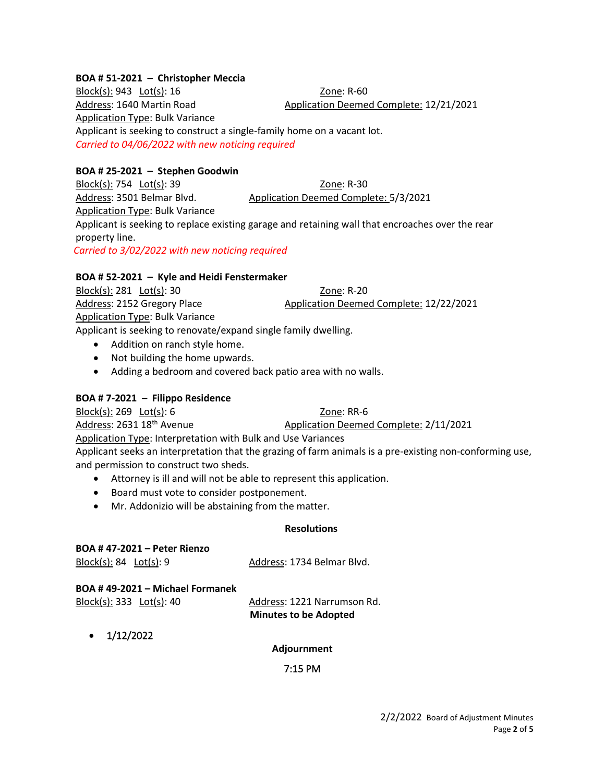#### **BOA # 51-2021 – Christopher Meccia**

Block(s): 943 Lot(s): 16 Zone: R-60 Address: 1640 Martin Road Application Deemed Complete: 12/21/2021 Application Type: Bulk Variance Applicant is seeking to construct a single-family home on a vacant lot. *Carried to 04/06/2022 with new noticing required*

### **BOA # 25-2021 – Stephen Goodwin**

Block(s): 754 Lot(s): 39 Zone: R-30 Address: 3501 Belmar Blvd. Application Deemed Complete: 5/3/2021 Application Type: Bulk Variance Applicant is seeking to replace existing garage and retaining wall that encroaches over the rear property line. *Carried to 3/02/2022 with new noticing required*

#### **BOA # 52-2021 – Kyle and Heidi Fenstermaker**

Block(s): 281 Lot(s): 30 Zone: R-20 Address: 2152 Gregory Place Application Deemed Complete: 12/22/2021 Application Type: Bulk Variance Applicant is seeking to renovate/expand single family dwelling.

- Addition on ranch style home.
- Not building the home upwards.
- Adding a bedroom and covered back patio area with no walls.

#### **BOA # 7-2021 – Filippo Residence**

Block(s): 269 Lot(s): 6 Zone: RR-6

Address: 2631 18th Avenue Application Deemed Complete: 2/11/2021

Application Type: Interpretation with Bulk and Use Variances

Applicant seeks an interpretation that the grazing of farm animals is a pre-existing non-conforming use, and permission to construct two sheds.

- Attorney is ill and will not be able to represent this application.
- Board must vote to consider postponement.
- Mr. Addonizio will be abstaining from the matter.

#### **Resolutions**

| <b>BOA #47-2021 – Peter Rienzo</b> |                             |
|------------------------------------|-----------------------------|
| Block(s): $84$ Lot(s): 9           | Address: 1734 Belmar Blvd.  |
|                                    |                             |
| BOA #49-2021 – Michael Formanek    |                             |
| $Block(s): 333$ $Lot(s): 40$       | Address: 1221 Narrumson Rd. |

 $\bullet$  1/12/2022

**Adjournment**

**Minutes to be Adopted**

7:15 PM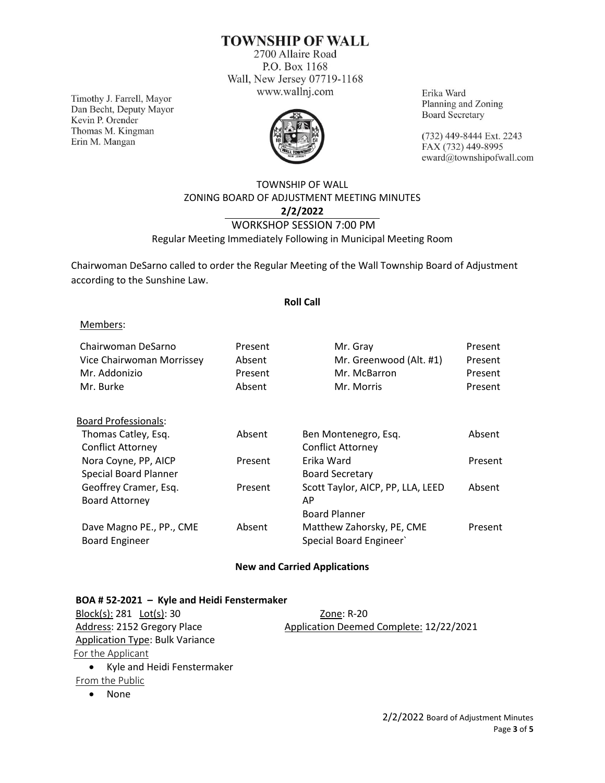## **TOWNSHIP OF WALL**

2700 Allaire Road P.O. Box 1168 Wall, New Jersey 07719-1168 www.wallnj.com

Timothy J. Farrell, Mayor Dan Becht, Deputy Mayor Kevin P. Orender Thomas M. Kingman Erin M. Mangan



Erika Ward Planning and Zoning **Board Secretary** 

(732) 449-8444 Ext. 2243 FAX (732) 449-8995 eward@townshipofwall.com

## TOWNSHIP OF WALL ZONING BOARD OF ADJUSTMENT MEETING MINUTES **2/2/2022** WORKSHOP SESSION 7:00 PM Regular Meeting Immediately Following in Municipal Meeting Room

Chairwoman DeSarno called to order the Regular Meeting of the Wall Township Board of Adjustment according to the Sunshine Law.

#### **Roll Call**

#### Members:

| Chairwoman DeSarno<br>Vice Chairwoman Morrissey<br>Mr. Addonizio<br>Mr. Burke | Present<br>Absent<br>Present<br>Absent | Mr. Gray<br>Mr. Greenwood (Alt. #1)<br>Mr. McBarron<br>Mr. Morris | Present<br>Present<br>Present<br>Present |
|-------------------------------------------------------------------------------|----------------------------------------|-------------------------------------------------------------------|------------------------------------------|
| <b>Board Professionals:</b>                                                   |                                        |                                                                   |                                          |
| Thomas Catley, Esq.                                                           | Absent                                 | Ben Montenegro, Esq.                                              | Absent                                   |
| <b>Conflict Attorney</b>                                                      |                                        | <b>Conflict Attorney</b>                                          |                                          |
| Nora Coyne, PP, AICP                                                          | Present                                | Erika Ward                                                        | Present                                  |
| Special Board Planner                                                         |                                        | <b>Board Secretary</b>                                            |                                          |
| Geoffrey Cramer, Esq.                                                         | Present                                | Scott Taylor, AICP, PP, LLA, LEED                                 | Absent                                   |
| <b>Board Attorney</b>                                                         |                                        | AP                                                                |                                          |
|                                                                               |                                        | <b>Board Planner</b>                                              |                                          |
| Dave Magno PE., PP., CME                                                      | Absent                                 | Matthew Zahorsky, PE, CME                                         | Present                                  |
| <b>Board Engineer</b>                                                         |                                        | Special Board Engineer                                            |                                          |
|                                                                               |                                        |                                                                   |                                          |

#### **New and Carried Applications**

#### **BOA # 52-2021 – Kyle and Heidi Fenstermaker**

Block(s): 281 Lot(s): 30 Zone: R-20 Address: 2152 Gregory Place Application Deemed Complete: 12/22/2021 Application Type: Bulk Variance For the Applicant • Kyle and Heidi Fenstermaker From the Public

• None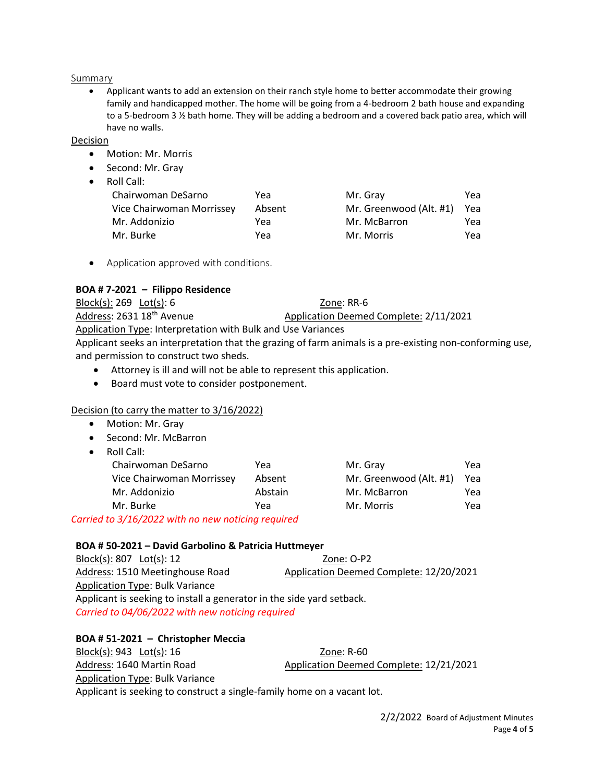#### Summary

• Applicant wants to add an extension on their ranch style home to better accommodate their growing family and handicapped mother. The home will be going from a 4-bedroom 2 bath house and expanding to a 5-bedroom 3 ½ bath home. They will be adding a bedroom and a covered back patio area, which will have no walls.

#### Decision

- Motion: Mr. Morris
- Second: Mr. Gray
- Roll Call:

| Yea |
|-----|
| Yea |
| Yea |
| Yea |
|     |

• Application approved with conditions.

### **BOA # 7-2021 – Filippo Residence**

| Block(s): $269$ Lot(s): 6                                    | Zone: RR-6                             |  |
|--------------------------------------------------------------|----------------------------------------|--|
| Address: 2631 18 <sup>th</sup> Avenue                        | Application Deemed Complete: 2/11/2021 |  |
| Application Type: Interpretation with Bulk and Use Variances |                                        |  |
|                                                              |                                        |  |

Applicant seeks an interpretation that the grazing of farm animals is a pre-existing non-conforming use, and permission to construct two sheds.

- Attorney is ill and will not be able to represent this application.
- Board must vote to consider postponement.

## Decision (to carry the matter to 3/16/2022)

- Motion: Mr. Gray
- Second: Mr. McBarron
- Roll Call:

| Chairwoman DeSarno                                                     | Yea     | Mr. Gray                | Yea |
|------------------------------------------------------------------------|---------|-------------------------|-----|
| Vice Chairwoman Morrissey                                              | Absent  | Mr. Greenwood (Alt. #1) | Yea |
| Mr. Addonizio                                                          | Abstain | Mr. McBarron            | Yea |
| Mr. Burke                                                              | Yea     | Mr. Morris              | Yea |
| $\overline{1}$ at $\overline{2}$ and $\overline{2}$ and $\overline{2}$ |         |                         |     |

*Carried to 3/16/2022 with no new noticing required*

#### **BOA # 50-2021 – David Garbolino & Patricia Huttmeyer**

| $Block(s): 807$ $Lot(s): 12$                                          | Zone: O-P2                              |  |
|-----------------------------------------------------------------------|-----------------------------------------|--|
| Address: 1510 Meetinghouse Road                                       | Application Deemed Complete: 12/20/2021 |  |
| Application Type: Bulk Variance                                       |                                         |  |
| Applicant is seeking to install a generator in the side yard setback. |                                         |  |
| Carried to 04/06/2022 with new noticing required                      |                                         |  |

#### **BOA # 51-2021 – Christopher Meccia**

Block(s): 943 Lot(s): 16 Zone: R-60 Address: 1640 Martin Road Application Deemed Complete: 12/21/2021 Application Type: Bulk Variance Applicant is seeking to construct a single-family home on a vacant lot.